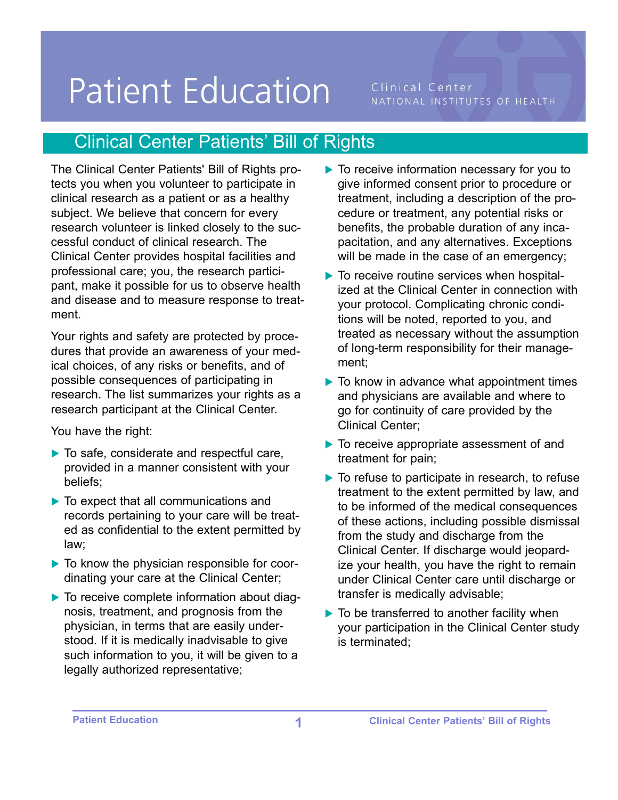## **Patient Education**

Clinical Center NATIONAL INSTITUTES OF HEALTH

## Clinical Center Patients' Bill of Rights

The Clinical Center Patients' Bill of Rights protects you when you volunteer to participate in clinical research as a patient or as a healthy subject. We believe that concern for every research volunteer is linked closely to the successful conduct of clinical research. The Clinical Center provides hospital facilities and professional care; you, the research participant, make it possible for us to observe health and disease and to measure response to treatment.

Your rights and safety are protected by procedures that provide an awareness of your medical choices, of any risks or benefits, and of possible consequences of participating in research. The list summarizes your rights as a research participant at the Clinical Center.

You have the right:

- ▶ To safe, considerate and respectful care, provided in a manner consistent with your beliefs;
- ▶ To expect that all communications and records pertaining to your care will be treated as confidential to the extent permitted by law;
- $\triangleright$  To know the physician responsible for coordinating your care at the Clinical Center;
- $\blacktriangleright$  To receive complete information about diagnosis, treatment, and prognosis from the physician, in terms that are easily understood. If it is medically inadvisable to give such information to you, it will be given to a legally authorized representative;
- ▶ To receive information necessary for you to give informed consent prior to procedure or treatment, including a description of the procedure or treatment, any potential risks or benefits, the probable duration of any incapacitation, and any alternatives. Exceptions will be made in the case of an emergency;
- $\blacktriangleright$  To receive routine services when hospitalized at the Clinical Center in connection with your protocol. Complicating chronic conditions will be noted, reported to you, and treated as necessary without the assumption of long-term responsibility for their management;
- $\blacktriangleright$  To know in advance what appointment times and physicians are available and where to go for continuity of care provided by the Clinical Center;
- To receive appropriate assessment of and treatment for pain;
- $\blacktriangleright$  To refuse to participate in research, to refuse treatment to the extent permitted by law, and to be informed of the medical consequences of these actions, including possible dismissal from the study and discharge from the Clinical Center. If discharge would jeopardize your health, you have the right to remain under Clinical Center care until discharge or transfer is medically advisable;
- $\blacktriangleright$  To be transferred to another facility when your participation in the Clinical Center study is terminated;